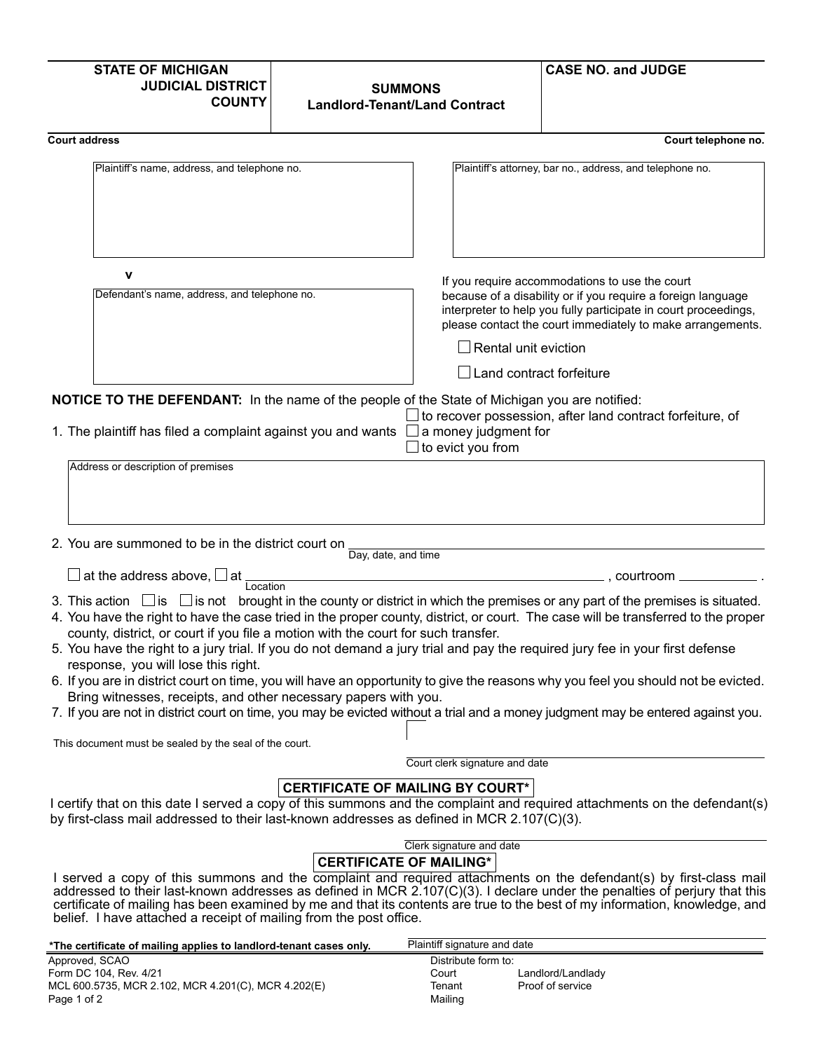| <b>STATE OF MICHIGAN</b><br><b>JUDICIAL DISTRICT</b><br><b>COUNTY</b>                                  | <b>SUMMONS</b><br><b>Landlord-Tenant/Land Contract</b>                                                                                                                                                                                                                                                                                                                                                                                                                                                                                                                                                                                                                                                                                                                     | <b>CASE NO. and JUDGE</b>                                                                                                                                                                                                                       |
|--------------------------------------------------------------------------------------------------------|----------------------------------------------------------------------------------------------------------------------------------------------------------------------------------------------------------------------------------------------------------------------------------------------------------------------------------------------------------------------------------------------------------------------------------------------------------------------------------------------------------------------------------------------------------------------------------------------------------------------------------------------------------------------------------------------------------------------------------------------------------------------------|-------------------------------------------------------------------------------------------------------------------------------------------------------------------------------------------------------------------------------------------------|
| <b>Court address</b>                                                                                   |                                                                                                                                                                                                                                                                                                                                                                                                                                                                                                                                                                                                                                                                                                                                                                            | Court telephone no.                                                                                                                                                                                                                             |
| Plaintiff's name, address, and telephone no.                                                           |                                                                                                                                                                                                                                                                                                                                                                                                                                                                                                                                                                                                                                                                                                                                                                            | Plaintiff's attorney, bar no., address, and telephone no.                                                                                                                                                                                       |
| v                                                                                                      |                                                                                                                                                                                                                                                                                                                                                                                                                                                                                                                                                                                                                                                                                                                                                                            |                                                                                                                                                                                                                                                 |
| Defendant's name, address, and telephone no.                                                           | $\Box$ Rental unit eviction<br>Land contract forfeiture                                                                                                                                                                                                                                                                                                                                                                                                                                                                                                                                                                                                                                                                                                                    | If you require accommodations to use the court<br>because of a disability or if you require a foreign language<br>interpreter to help you fully participate in court proceedings,<br>please contact the court immediately to make arrangements. |
| 1. The plaintiff has filed a complaint against you and wants                                           | <b>NOTICE TO THE DEFENDANT:</b> In the name of the people of the State of Michigan you are notified:<br>a money judgment for<br>to evict you from                                                                                                                                                                                                                                                                                                                                                                                                                                                                                                                                                                                                                          | to recover possession, after land contract forfeiture, of                                                                                                                                                                                       |
| 2. You are summoned to be in the district court on                                                     | Day, date, and time                                                                                                                                                                                                                                                                                                                                                                                                                                                                                                                                                                                                                                                                                                                                                        |                                                                                                                                                                                                                                                 |
| at the address above, $\square$ at<br>Location                                                         |                                                                                                                                                                                                                                                                                                                                                                                                                                                                                                                                                                                                                                                                                                                                                                            | $\_$ , courtroom $\_$ ________                                                                                                                                                                                                                  |
| response, you will lose this right.<br>Bring witnesses, receipts, and other necessary papers with you. | 3. This action $\Box$ is $\Box$ is not brought in the county or district in which the premises or any part of the premises is situated.<br>4. You have the right to have the case tried in the proper county, district, or court. The case will be transferred to the proper<br>county, district, or court if you file a motion with the court for such transfer.<br>5. You have the right to a jury trial. If you do not demand a jury trial and pay the required jury fee in your first defense<br>6. If you are in district court on time, you will have an opportunity to give the reasons why you feel you should not be evicted.<br>7. If you are not in district court on time, you may be evicted without a trial and a money judgment may be entered against you. |                                                                                                                                                                                                                                                 |
| This document must be sealed by the seal of the court.                                                 |                                                                                                                                                                                                                                                                                                                                                                                                                                                                                                                                                                                                                                                                                                                                                                            |                                                                                                                                                                                                                                                 |
|                                                                                                        | Court clerk signature and date                                                                                                                                                                                                                                                                                                                                                                                                                                                                                                                                                                                                                                                                                                                                             |                                                                                                                                                                                                                                                 |
|                                                                                                        | <b>CERTIFICATE OF MAILING BY COURT*</b><br>I certify that on this date I served a copy of this summons and the complaint and required attachments on the defendant(s)<br>by first-class mail addressed to their last-known addresses as defined in MCR 2.107(C)(3).                                                                                                                                                                                                                                                                                                                                                                                                                                                                                                        |                                                                                                                                                                                                                                                 |
| belief. I have attached a receipt of mailing from the post office.                                     | Clerk signature and date<br><b>CERTIFICATE OF MAILING*</b><br>I served a copy of this summons and the complaint and required attachments on the defendant(s) by first-class mail<br>addressed to their last-known addresses as defined in MCR 2.107(C)(3). I declare under the penalties of perjury that this<br>certificate of mailing has been examined by me and that its contents are true to the best of my information, knowledge, and                                                                                                                                                                                                                                                                                                                               |                                                                                                                                                                                                                                                 |
| *The certificate of mailing applies to landlord-tenant cases only.<br>Approved SCAO                    | Plaintiff signature and date<br>Distribute form to:                                                                                                                                                                                                                                                                                                                                                                                                                                                                                                                                                                                                                                                                                                                        |                                                                                                                                                                                                                                                 |

| Approved, SCAO                                      |  |
|-----------------------------------------------------|--|
| Form DC 104, Rev. 4/21                              |  |
| MCL 600.5735, MCR 2.102, MCR 4.201(C), MCR 4.202(E) |  |
| Page 1 of 2                                         |  |

Distribute form to: Court Landlord/Landlady

Proof of service

Tenant Mailing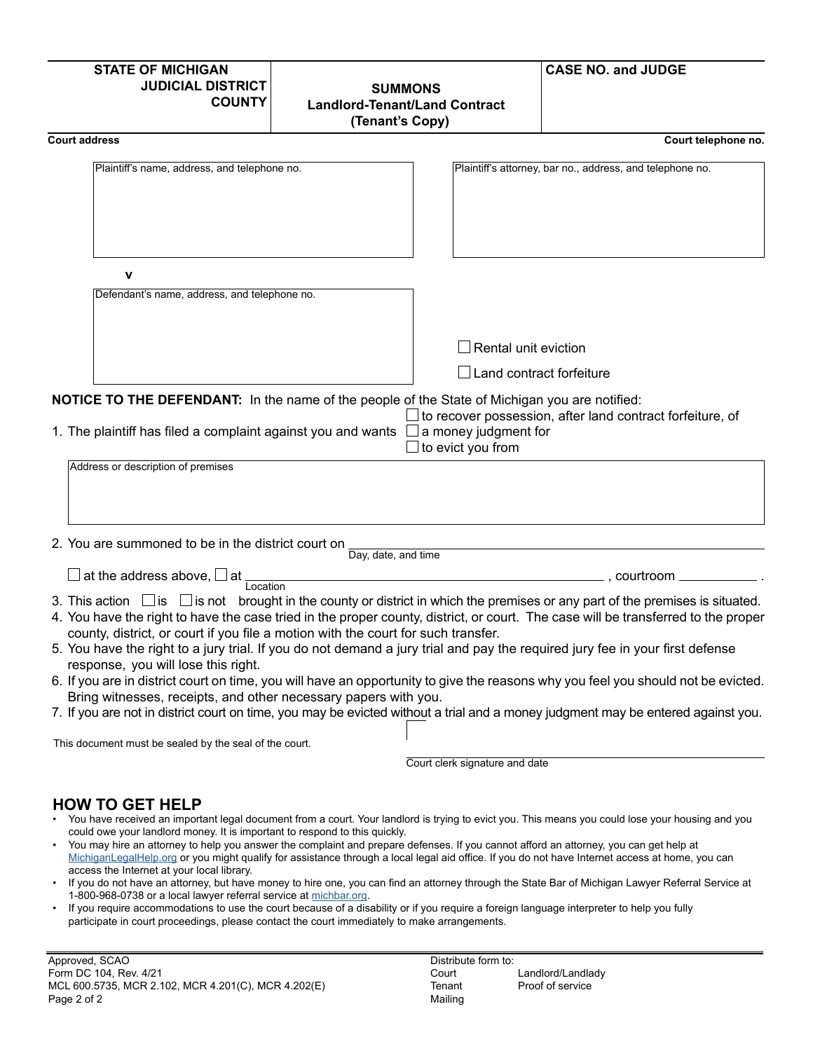| <b>STATE OF MICHIGAN</b><br><b>JUDICIAL DISTRICT</b><br><b>COUNTY</b>                                                                              | <b>SUMMONS</b><br><b>Landlord-Tenant/Land Contract</b><br>(Tenant's Copy)                                                                                                                                                                                                                                                                                                                                                                                                                                                                                                                                                                                                                                                                                                  | <b>CASE NO. and JUDGE</b>                                                    |
|----------------------------------------------------------------------------------------------------------------------------------------------------|----------------------------------------------------------------------------------------------------------------------------------------------------------------------------------------------------------------------------------------------------------------------------------------------------------------------------------------------------------------------------------------------------------------------------------------------------------------------------------------------------------------------------------------------------------------------------------------------------------------------------------------------------------------------------------------------------------------------------------------------------------------------------|------------------------------------------------------------------------------|
| <b>Court address</b>                                                                                                                               |                                                                                                                                                                                                                                                                                                                                                                                                                                                                                                                                                                                                                                                                                                                                                                            | Court telephone no.                                                          |
| Plaintiff's name, address, and telephone no.                                                                                                       |                                                                                                                                                                                                                                                                                                                                                                                                                                                                                                                                                                                                                                                                                                                                                                            | Plaintiff's attorney, bar no., address, and telephone no.                    |
| $\mathbf v$<br>Defendant's name, address, and telephone no.                                                                                        |                                                                                                                                                                                                                                                                                                                                                                                                                                                                                                                                                                                                                                                                                                                                                                            |                                                                              |
|                                                                                                                                                    |                                                                                                                                                                                                                                                                                                                                                                                                                                                                                                                                                                                                                                                                                                                                                                            |                                                                              |
|                                                                                                                                                    | $\Box$ Rental unit eviction                                                                                                                                                                                                                                                                                                                                                                                                                                                                                                                                                                                                                                                                                                                                                |                                                                              |
|                                                                                                                                                    |                                                                                                                                                                                                                                                                                                                                                                                                                                                                                                                                                                                                                                                                                                                                                                            | $\Box$ Land contract forfeiture                                              |
| Address or description of premises                                                                                                                 | <b>NOTICE TO THE DEFENDANT:</b> In the name of the people of the State of Michigan you are notified:<br>1. The plaintiff has filed a complaint against you and wants $\Box$ a money judgment for<br>$\Box$ to evict you from                                                                                                                                                                                                                                                                                                                                                                                                                                                                                                                                               | $\square$ to recover possession, after land contract forfeiture, of          |
| 2. You are summoned to be in the district court on<br>$\square$ at the address above, $\square$ at                                                 | Day, date, and time                                                                                                                                                                                                                                                                                                                                                                                                                                                                                                                                                                                                                                                                                                                                                        |                                                                              |
| Location<br>response, you will lose this right.<br>Bring witnesses, receipts, and other necessary papers with you.                                 | 3. This action $\Box$ is $\Box$ is not brought in the county or district in which the premises or any part of the premises is situated.<br>4. You have the right to have the case tried in the proper county, district, or court. The case will be transferred to the proper<br>county, district, or court if you file a motion with the court for such transfer.<br>5. You have the right to a jury trial. If you do not demand a jury trial and pay the required jury fee in your first defense<br>6. If you are in district court on time, you will have an opportunity to give the reasons why you feel you should not be evicted.<br>7. If you are not in district court on time, you may be evicted without a trial and a money judgment may be entered against you. |                                                                              |
| This document must be sealed by the seal of the court.                                                                                             |                                                                                                                                                                                                                                                                                                                                                                                                                                                                                                                                                                                                                                                                                                                                                                            |                                                                              |
|                                                                                                                                                    | Court clerk signature and date                                                                                                                                                                                                                                                                                                                                                                                                                                                                                                                                                                                                                                                                                                                                             |                                                                              |
| <b>HOW TO GET HELP</b><br>could owe your landlord money. It is important to respond to this quickly.<br>access the Internet at your local library. | You have received an important legal document from a court. Your landlord is trying to evict you. This means you could lose your housing and you<br>• You may hire an attorney to help you answer the complaint and prepare defenses. If you cannot afford an attorney, you can get help at<br>MichiganLegalHelp.org or you might qualify for assistance through a local legal aid office. If you do not have Internet access at home, you can                                                                                                                                                                                                                                                                                                                             | find on ottomou through the Ctate Day of Michigan Louver Deferred Comvice of |

- If you do not have an attorney, but have money to hire one, you can find an attorney through the State Bar of Michigan Lawyer Referral Service at 1-800-968-0738 or a local lawyer referral service at [michbar.org.](http://michbar.org)
- If you require accommodations to use the court because of a disability or if you require a foreign language interpreter to help you fully participate in court proceedings, please contact the court immediately to make arrangements.

Distribute form to: Court Tenant Mailing Landlord/Landlady Proof of service